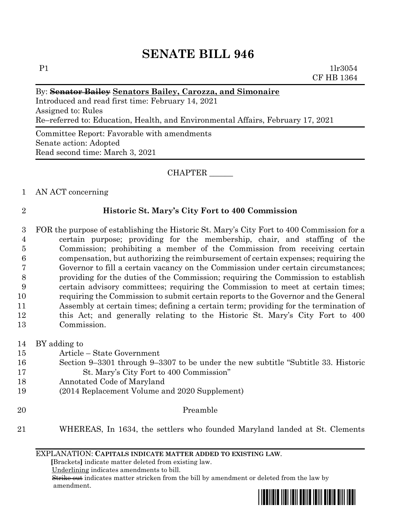$P1$   $1\text{lr}3054$ CF HB 1364

### By: **Senator Bailey Senators Bailey, Carozza, and Simonaire**

Introduced and read first time: February 14, 2021 Assigned to: Rules Re–referred to: Education, Health, and Environmental Affairs, February 17, 2021

Committee Report: Favorable with amendments Senate action: Adopted Read second time: March 3, 2021

#### CHAPTER \_\_\_\_\_\_

### 1 AN ACT concerning

### 2 **Historic St. Mary's City Fort to 400 Commission**

 FOR the purpose of establishing the Historic St. Mary's City Fort to 400 Commission for a certain purpose; providing for the membership, chair, and staffing of the Commission; prohibiting a member of the Commission from receiving certain compensation, but authorizing the reimbursement of certain expenses; requiring the Governor to fill a certain vacancy on the Commission under certain circumstances; providing for the duties of the Commission; requiring the Commission to establish certain advisory committees; requiring the Commission to meet at certain times; requiring the Commission to submit certain reports to the Governor and the General Assembly at certain times; defining a certain term; providing for the termination of this Act; and generally relating to the Historic St. Mary's City Fort to 400 Commission.

- 14 BY adding to
- 15 Article State Government
- 16 Section 9–3301 through 9–3307 to be under the new subtitle "Subtitle 33. Historic 17 St. Mary's City Fort to 400 Commission"
- 18 Annotated Code of Maryland
- 19 (2014 Replacement Volume and 2020 Supplement)
- 20 Preamble
- 21 WHEREAS, In 1634, the settlers who founded Maryland landed at St. Clements

EXPLANATION: **CAPITALS INDICATE MATTER ADDED TO EXISTING LAW**.

 **[**Brackets**]** indicate matter deleted from existing law.

Underlining indicates amendments to bill.

 Strike out indicates matter stricken from the bill by amendment or deleted from the law by amendment.

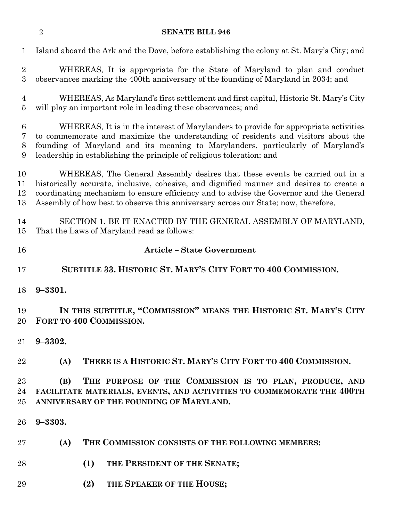Island aboard the Ark and the Dove, before establishing the colony at St. Mary's City; and WHEREAS, It is appropriate for the State of Maryland to plan and conduct observances marking the 400th anniversary of the founding of Maryland in 2034; and WHEREAS, As Maryland's first settlement and first capital, Historic St. Mary's City will play an important role in leading these observances; and WHEREAS, It is in the interest of Marylanders to provide for appropriate activities to commemorate and maximize the understanding of residents and visitors about the founding of Maryland and its meaning to Marylanders, particularly of Maryland's leadership in establishing the principle of religious toleration; and WHEREAS, The General Assembly desires that these events be carried out in a historically accurate, inclusive, cohesive, and dignified manner and desires to create a coordinating mechanism to ensure efficiency and to advise the Governor and the General Assembly of how best to observe this anniversary across our State; now, therefore, SECTION 1. BE IT ENACTED BY THE GENERAL ASSEMBLY OF MARYLAND, That the Laws of Maryland read as follows: **Article – State Government SUBTITLE 33. HISTORIC ST. MARY'S CITY FORT TO 400 COMMISSION. 9–3301. IN THIS SUBTITLE, "COMMISSION" MEANS THE HISTORIC ST. MARY'S CITY FORT TO 400 COMMISSION. 9–3302. (A) THERE IS A HISTORIC ST. MARY'S CITY FORT TO 400 COMMISSION. (B) THE PURPOSE OF THE COMMISSION IS TO PLAN, PRODUCE, AND FACILITATE MATERIALS, EVENTS, AND ACTIVITIES TO COMMEMORATE THE 400TH ANNIVERSARY OF THE FOUNDING OF MARYLAND. 9–3303. (A) THE COMMISSION CONSISTS OF THE FOLLOWING MEMBERS: (1) THE PRESIDENT OF THE SENATE; (2) THE SPEAKER OF THE HOUSE;**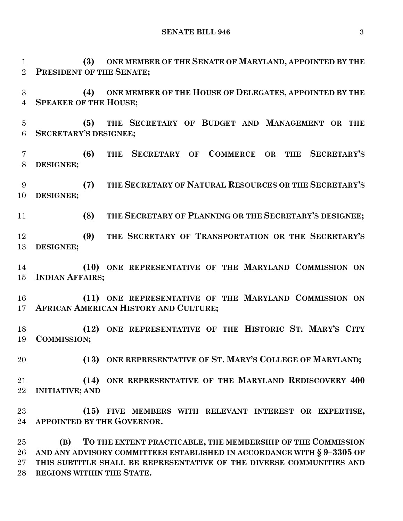**SENATE BILL 946** 3

 **(3) ONE MEMBER OF THE SENATE OF MARYLAND, APPOINTED BY THE PRESIDENT OF THE SENATE;**

 **(4) ONE MEMBER OF THE HOUSE OF DELEGATES, APPOINTED BY THE SPEAKER OF THE HOUSE;**

 **(5) THE SECRETARY OF BUDGET AND MANAGEMENT OR THE SECRETARY'S DESIGNEE;**

 **(6) THE SECRETARY OF COMMERCE OR THE SECRETARY'S DESIGNEE;**

 **(7) THE SECRETARY OF NATURAL RESOURCES OR THE SECRETARY'S DESIGNEE;**

**(8) THE SECRETARY OF PLANNING OR THE SECRETARY'S DESIGNEE;**

 **(9) THE SECRETARY OF TRANSPORTATION OR THE SECRETARY'S DESIGNEE;**

 **(10) ONE REPRESENTATIVE OF THE MARYLAND COMMISSION ON INDIAN AFFAIRS;**

 **(11) ONE REPRESENTATIVE OF THE MARYLAND COMMISSION ON AFRICAN AMERICAN HISTORY AND CULTURE;**

 **(12) ONE REPRESENTATIVE OF THE HISTORIC ST. MARY'S CITY COMMISSION;**

**(13) ONE REPRESENTATIVE OF ST. MARY'S COLLEGE OF MARYLAND;**

 **(14) ONE REPRESENTATIVE OF THE MARYLAND REDISCOVERY 400 INITIATIVE; AND**

 **(15) FIVE MEMBERS WITH RELEVANT INTEREST OR EXPERTISE, APPOINTED BY THE GOVERNOR.**

 **(B) TO THE EXTENT PRACTICABLE, THE MEMBERSHIP OF THE COMMISSION AND ANY ADVISORY COMMITTEES ESTABLISHED IN ACCORDANCE WITH § 9–3305 OF THIS SUBTITLE SHALL BE REPRESENTATIVE OF THE DIVERSE COMMUNITIES AND REGIONS WITHIN THE STATE.**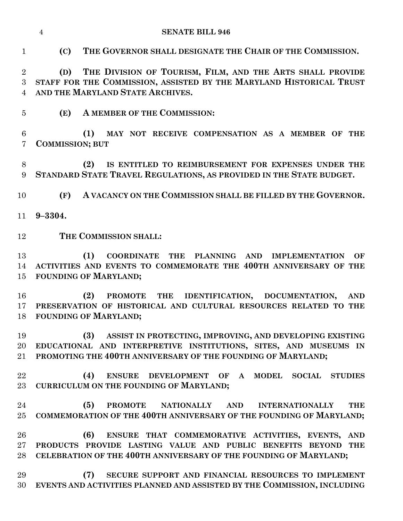**(C) THE GOVERNOR SHALL DESIGNATE THE CHAIR OF THE COMMISSION.**

 **(D) THE DIVISION OF TOURISM, FILM, AND THE ARTS SHALL PROVIDE STAFF FOR THE COMMISSION, ASSISTED BY THE MARYLAND HISTORICAL TRUST AND THE MARYLAND STATE ARCHIVES.**

**(E) A MEMBER OF THE COMMISSION:**

 **(1) MAY NOT RECEIVE COMPENSATION AS A MEMBER OF THE COMMISSION; BUT**

 **(2) IS ENTITLED TO REIMBURSEMENT FOR EXPENSES UNDER THE STANDARD STATE TRAVEL REGULATIONS, AS PROVIDED IN THE STATE BUDGET.**

**(F) A VACANCY ON THE COMMISSION SHALL BE FILLED BY THE GOVERNOR.**

**9–3304.**

**THE COMMISSION SHALL:**

 **(1) COORDINATE THE PLANNING AND IMPLEMENTATION OF ACTIVITIES AND EVENTS TO COMMEMORATE THE 400TH ANNIVERSARY OF THE FOUNDING OF MARYLAND;**

 **(2) PROMOTE THE IDENTIFICATION, DOCUMENTATION, AND PRESERVATION OF HISTORICAL AND CULTURAL RESOURCES RELATED TO THE FOUNDING OF MARYLAND;**

 **(3) ASSIST IN PROTECTING, IMPROVING, AND DEVELOPING EXISTING EDUCATIONAL AND INTERPRETIVE INSTITUTIONS, SITES, AND MUSEUMS IN PROMOTING THE 400TH ANNIVERSARY OF THE FOUNDING OF MARYLAND;**

 **(4) ENSURE DEVELOPMENT OF A MODEL SOCIAL STUDIES CURRICULUM ON THE FOUNDING OF MARYLAND;**

 **(5) PROMOTE NATIONALLY AND INTERNATIONALLY THE COMMEMORATION OF THE 400TH ANNIVERSARY OF THE FOUNDING OF MARYLAND;**

 **(6) ENSURE THAT COMMEMORATIVE ACTIVITIES, EVENTS, AND PRODUCTS PROVIDE LASTING VALUE AND PUBLIC BENEFITS BEYOND THE CELEBRATION OF THE 400TH ANNIVERSARY OF THE FOUNDING OF MARYLAND;**

 **(7) SECURE SUPPORT AND FINANCIAL RESOURCES TO IMPLEMENT EVENTS AND ACTIVITIES PLANNED AND ASSISTED BY THE COMMISSION, INCLUDING**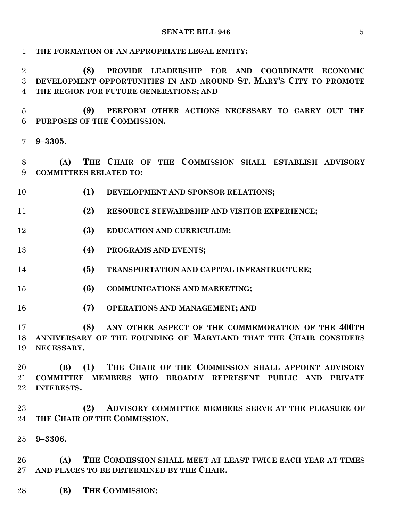**THE FORMATION OF AN APPROPRIATE LEGAL ENTITY; (8) PROVIDE LEADERSHIP FOR AND COORDINATE ECONOMIC DEVELOPMENT OPPORTUNITIES IN AND AROUND ST. MARY'S CITY TO PROMOTE THE REGION FOR FUTURE GENERATIONS; AND (9) PERFORM OTHER ACTIONS NECESSARY TO CARRY OUT THE PURPOSES OF THE COMMISSION. 9–3305. (A) THE CHAIR OF THE COMMISSION SHALL ESTABLISH ADVISORY COMMITTEES RELATED TO: (1) DEVELOPMENT AND SPONSOR RELATIONS; (2) RESOURCE STEWARDSHIP AND VISITOR EXPERIENCE; (3) EDUCATION AND CURRICULUM; (4) PROGRAMS AND EVENTS; (5) TRANSPORTATION AND CAPITAL INFRASTRUCTURE; (6) COMMUNICATIONS AND MARKETING; (7) OPERATIONS AND MANAGEMENT; AND (8) ANY OTHER ASPECT OF THE COMMEMORATION OF THE 400TH ANNIVERSARY OF THE FOUNDING OF MARYLAND THAT THE CHAIR CONSIDERS NECESSARY. (B) (1) THE CHAIR OF THE COMMISSION SHALL APPOINT ADVISORY COMMITTEE MEMBERS WHO BROADLY REPRESENT PUBLIC AND PRIVATE INTERESTS. (2) ADVISORY COMMITTEE MEMBERS SERVE AT THE PLEASURE OF THE CHAIR OF THE COMMISSION. 9–3306.**

 **(A) THE COMMISSION SHALL MEET AT LEAST TWICE EACH YEAR AT TIMES AND PLACES TO BE DETERMINED BY THE CHAIR.**

**(B) THE COMMISSION:**